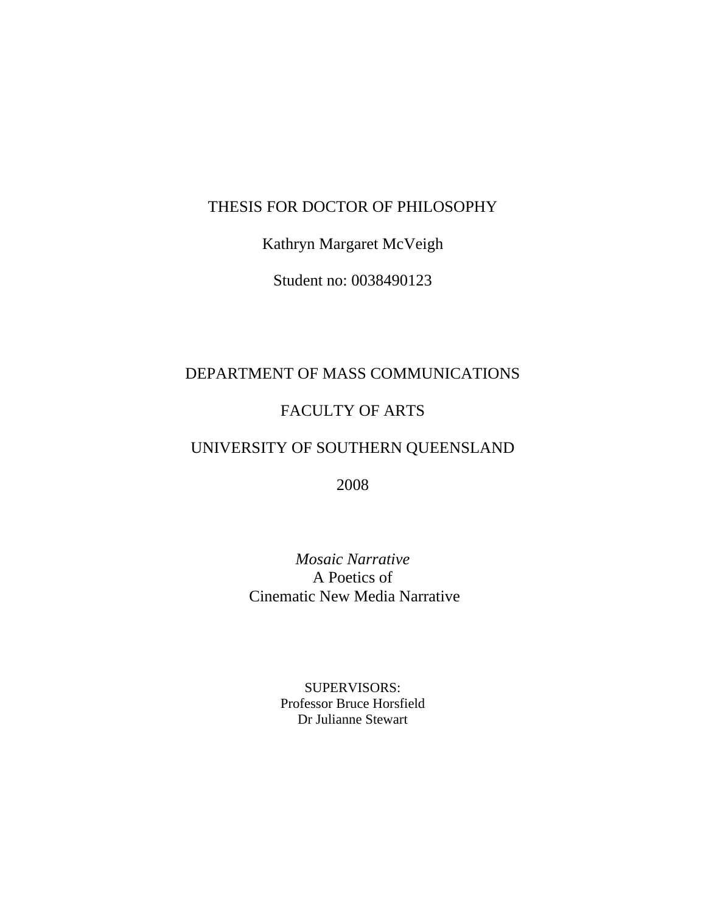## THESIS FOR DOCTOR OF PHILOSOPHY

Kathryn Margaret McVeigh

Student no: 0038490123

# DEPARTMENT OF MASS COMMUNICATIONS

# FACULTY OF ARTS

# UNIVERSITY OF SOUTHERN QUEENSLAND

2008

*Mosaic Narrative*  A Poetics of Cinematic New Media Narrative

> SUPERVISORS: Professor Bruce Horsfield Dr Julianne Stewart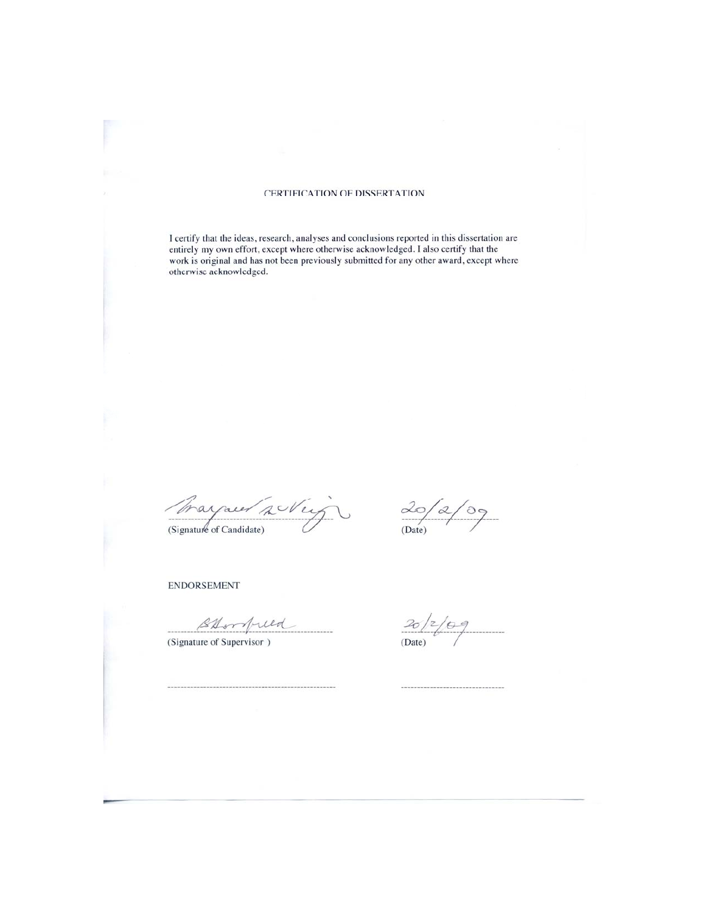#### CERTIFICATION OF DISSERTATION

I certify that the ideas, research, analyses and conclusions reported in this dissertation are entirely my own effort, except where otherwise acknowledged. I also certify that the work is original and has not been previously submitted for any other award, except where otherwise acknowledged.

mar rand poller (Signature of Candidate)

 $\frac{2}{\sqrt{2}}$  $\frac{1}{2}$ 

**ENDORSEMENT** 

BArrfuld

.............................

(Signature of Supervisor)

(Date)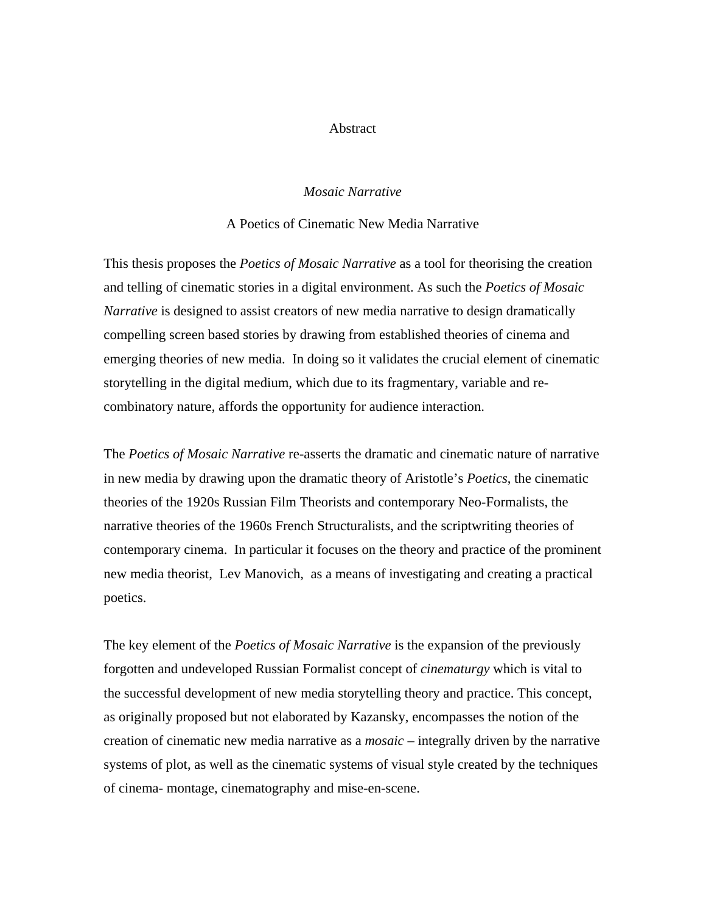#### Abstract

#### *Mosaic Narrative*

### A Poetics of Cinematic New Media Narrative

This thesis proposes the *Poetics of Mosaic Narrative* as a tool for theorising the creation and telling of cinematic stories in a digital environment. As such the *Poetics of Mosaic Narrative* is designed to assist creators of new media narrative to design dramatically compelling screen based stories by drawing from established theories of cinema and emerging theories of new media. In doing so it validates the crucial element of cinematic storytelling in the digital medium, which due to its fragmentary, variable and recombinatory nature, affords the opportunity for audience interaction.

The *Poetics of Mosaic Narrative* re-asserts the dramatic and cinematic nature of narrative in new media by drawing upon the dramatic theory of Aristotle's *Poetics*, the cinematic theories of the 1920s Russian Film Theorists and contemporary Neo-Formalists, the narrative theories of the 1960s French Structuralists, and the scriptwriting theories of contemporary cinema. In particular it focuses on the theory and practice of the prominent new media theorist, Lev Manovich, as a means of investigating and creating a practical poetics.

The key element of the *Poetics of Mosaic Narrative* is the expansion of the previously forgotten and undeveloped Russian Formalist concept of *cinematurgy* which is vital to the successful development of new media storytelling theory and practice. This concept, as originally proposed but not elaborated by Kazansky, encompasses the notion of the creation of cinematic new media narrative as a *mosaic* – integrally driven by the narrative systems of plot, as well as the cinematic systems of visual style created by the techniques of cinema- montage, cinematography and mise-en-scene.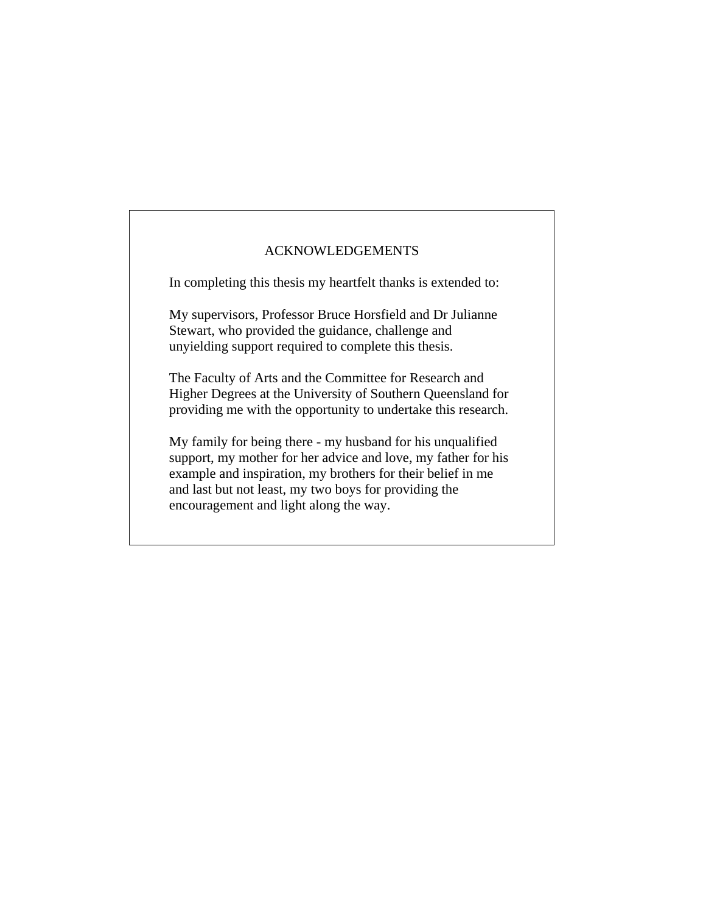#### ACKNOWLEDGEMENTS

In completing this thesis my heartfelt thanks is extended to:

My supervisors, Professor Bruce Horsfield and Dr Julianne Stewart, who provided the guidance, challenge and unyielding support required to complete this thesis.

The Faculty of Arts and the Committee for Research and Higher Degrees at the University of Southern Queensland for providing me with the opportunity to undertake this research.

My family for being there - my husband for his unqualified support, my mother for her advice and love, my father for his example and inspiration, my brothers for their belief in me and last but not least, my two boys for providing the encouragement and light along the way.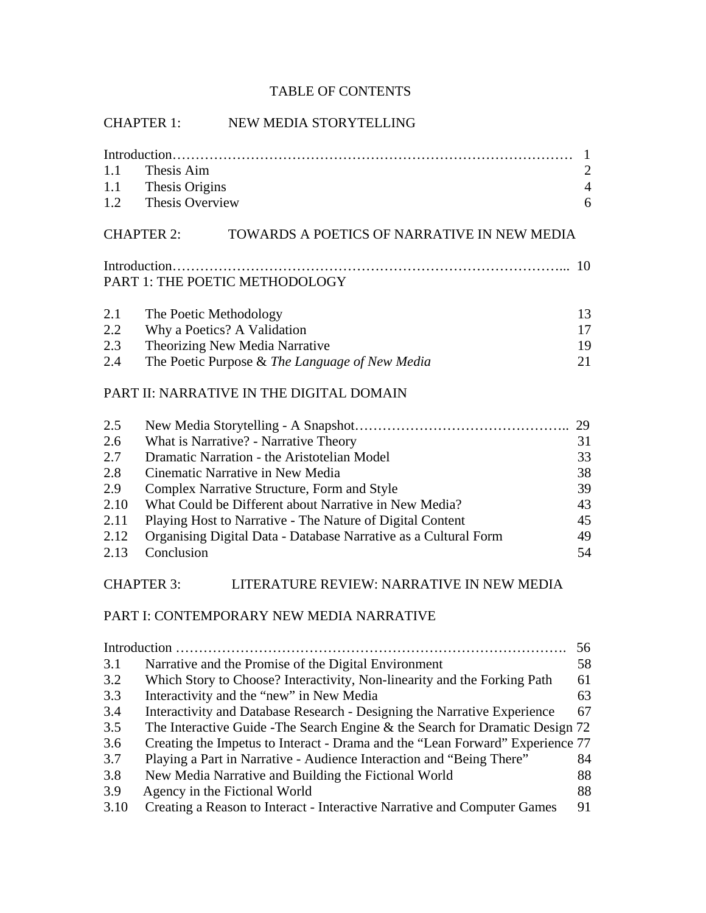## TABLE OF CONTENTS

Introduction…………………………………………………………………………… 1

## CHAPTER 1: NEW MEDIA STORYTELLING

| 1.1  | Thesis Aim                                                                    | $\overline{2}$ |
|------|-------------------------------------------------------------------------------|----------------|
| 1.1  | Thesis Origins                                                                |                |
| 1.2  | Thesis Overview                                                               | 6              |
|      | TOWARDS A POETICS OF NARRATIVE IN NEW MEDIA<br><b>CHAPTER 2:</b>              |                |
|      |                                                                               | 10             |
|      | PART 1: THE POETIC METHODOLOGY                                                |                |
| 2.1  | The Poetic Methodology                                                        | 13             |
| 2.2  | Why a Poetics? A Validation                                                   | 17             |
| 2.3  | Theorizing New Media Narrative                                                | 19             |
| 2.4  | The Poetic Purpose & The Language of New Media                                | 21             |
|      | PART II: NARRATIVE IN THE DIGITAL DOMAIN                                      |                |
| 2.5  |                                                                               | 29             |
| 2.6  | What is Narrative? - Narrative Theory                                         | 31             |
| 2.7  | Dramatic Narration - the Aristotelian Model                                   | 33             |
| 2.8  | Cinematic Narrative in New Media                                              | 38             |
| 2.9  | Complex Narrative Structure, Form and Style                                   | 39             |
| 2.10 | What Could be Different about Narrative in New Media?                         | 43             |
| 2.11 | Playing Host to Narrative - The Nature of Digital Content                     | 45             |
| 2.12 | Organising Digital Data - Database Narrative as a Cultural Form<br>49         |                |
| 2.13 | Conclusion                                                                    | 54             |
|      | LITERATURE REVIEW: NARRATIVE IN NEW MEDIA<br><b>CHAPTER 3:</b>                |                |
|      | PART I: CONTEMPORARY NEW MEDIA NARRATIVE                                      |                |
|      |                                                                               | 56             |
| 3.1  | Narrative and the Promise of the Digital Environment                          | 58             |
|      | 3.2 Which Story to Choose? Interactivity, Non-linearity and the Forking Path  | 61             |
| 3.3  | Interactivity and the "new" in New Media                                      | 63             |
| 3.4  | Interactivity and Database Research - Designing the Narrative Experience      | 67             |
| 3.5  | The Interactive Guide - The Search Engine & the Search for Dramatic Design 72 |                |
| 3.6  | Creating the Impetus to Interact - Drama and the "Lean Forward" Experience 77 |                |
| 3.7  | Playing a Part in Narrative - Audience Interaction and "Being There"          | 84             |
| 3.8  | New Media Narrative and Building the Fictional World                          | 88             |
| 3.9  | Agency in the Fictional World                                                 | 88             |
| 3.10 | Creating a Reason to Interact - Interactive Narrative and Computer Games      | 91             |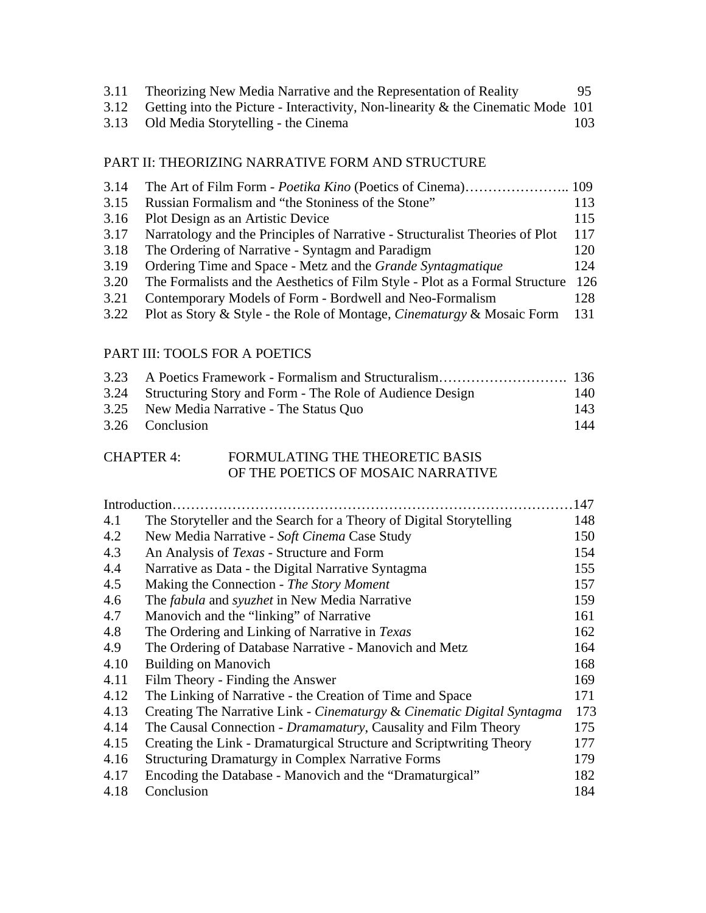| 3.11 Theorizing New Media Narrative and the Representation of Reality                 | 95  |
|---------------------------------------------------------------------------------------|-----|
| 3.12 Getting into the Picture - Interactivity, Non-linearity & the Cinematic Mode 101 |     |
| 3.13 Old Media Storytelling - the Cinema                                              | 103 |

#### PART II: THEORIZING NARRATIVE FORM AND STRUCTURE

|                                                                                           | 113 |
|-------------------------------------------------------------------------------------------|-----|
| Russian Formalism and "the Stoniness of the Stone"<br>3.15                                |     |
| Plot Design as an Artistic Device<br>3.16                                                 | 115 |
| Narratology and the Principles of Narrative - Structuralist Theories of Plot<br>3.17      | 117 |
| The Ordering of Narrative - Syntagm and Paradigm<br>3.18                                  | 120 |
| Ordering Time and Space - Metz and the <i>Grande Syntagmatique</i><br>3.19                | 124 |
| The Formalists and the Aesthetics of Film Style - Plot as a Formal Structure<br>3.20      | 126 |
| Contemporary Models of Form - Bordwell and Neo-Formalism<br>3.21                          | 128 |
| Plot as Story & Style - the Role of Montage, <i>Cinematurgy &amp; Mosaic Form</i><br>3.22 | 131 |

### PART III: TOOLS FOR A POETICS

| 3.24 Structuring Story and Form - The Role of Audience Design | 140 |
|---------------------------------------------------------------|-----|
| 3.25 New Media Narrative - The Status Quo                     | 143 |
| 3.26 Conclusion                                               | 144 |

#### **CHAPTER 4:** FORMULATING THE THEORETIC BASIS OF THE POETICS OF MOSAIC NARRATIVE

| Introduction. |                                                                        | 147 |
|---------------|------------------------------------------------------------------------|-----|
| 4.1           | The Storyteller and the Search for a Theory of Digital Storytelling    | 148 |
| 4.2           | New Media Narrative - Soft Cinema Case Study                           | 150 |
| 4.3           | An Analysis of Texas - Structure and Form                              | 154 |
| 4.4           | Narrative as Data - the Digital Narrative Syntagma                     | 155 |
| 4.5           | Making the Connection - The Story Moment                               | 157 |
| 4.6           | The fabula and syuzhet in New Media Narrative                          | 159 |
| 4.7           | Manovich and the "linking" of Narrative                                | 161 |
| 4.8           | The Ordering and Linking of Narrative in Texas                         | 162 |
| 4.9           | The Ordering of Database Narrative - Manovich and Metz                 | 164 |
| 4.10          | <b>Building on Manovich</b>                                            | 168 |
| 4.11          | Film Theory - Finding the Answer                                       | 169 |
| 4.12          | The Linking of Narrative - the Creation of Time and Space              | 171 |
| 4.13          | Creating The Narrative Link - Cinematurgy & Cinematic Digital Syntagma | 173 |
| 4.14          | The Causal Connection - <i>Dramamatury</i> , Causality and Film Theory | 175 |
| 4.15          | Creating the Link - Dramaturgical Structure and Scriptwriting Theory   | 177 |
| 4.16          | <b>Structuring Dramaturgy in Complex Narrative Forms</b>               | 179 |
| 4.17          | Encoding the Database - Manovich and the "Dramaturgical"               | 182 |
| 4.18          | Conclusion                                                             | 184 |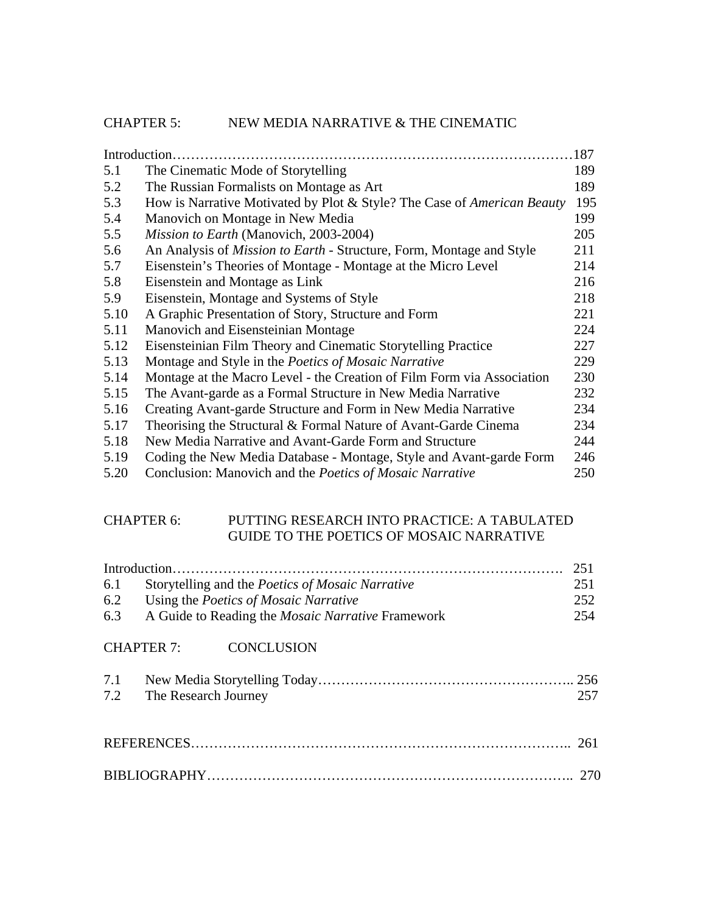### CHAPTER 5: NEW MEDIA NARRATIVE & THE CINEMATIC

| Introduction. |                                                                             | .187 |
|---------------|-----------------------------------------------------------------------------|------|
| 5.1           | The Cinematic Mode of Storytelling                                          | 189  |
| 5.2           | The Russian Formalists on Montage as Art                                    | 189  |
| 5.3           | How is Narrative Motivated by Plot & Style? The Case of American Beauty     | 195  |
| 5.4           | Manovich on Montage in New Media                                            | 199  |
| 5.5           | <i>Mission to Earth</i> (Manovich, 2003-2004)                               | 205  |
| 5.6           | An Analysis of <i>Mission to Earth</i> - Structure, Form, Montage and Style | 211  |
| 5.7           | Eisenstein's Theories of Montage - Montage at the Micro Level               | 214  |
| 5.8           | Eisenstein and Montage as Link                                              | 216  |
| 5.9           | Eisenstein, Montage and Systems of Style                                    | 218  |
| 5.10          | A Graphic Presentation of Story, Structure and Form                         | 221  |
| 5.11          | Manovich and Eisensteinian Montage                                          | 224  |
| 5.12          | Eisensteinian Film Theory and Cinematic Storytelling Practice               | 227  |
| 5.13          | Montage and Style in the Poetics of Mosaic Narrative                        | 229  |
| 5.14          | Montage at the Macro Level - the Creation of Film Form via Association      | 230  |
| 5.15          | The Avant-garde as a Formal Structure in New Media Narrative                | 232  |
| 5.16          | Creating Avant-garde Structure and Form in New Media Narrative              | 234  |
| 5.17          | Theorising the Structural & Formal Nature of Avant-Garde Cinema             | 234  |
| 5.18          | New Media Narrative and Avant-Garde Form and Structure                      | 244  |
| 5.19          | Coding the New Media Database - Montage, Style and Avant-garde Form         | 246  |
| 5.20          | Conclusion: Manovich and the <i>Poetics of Mosaic Narrative</i>             | 250  |

### CHAPTER 6: PUTTING RESEARCH INTO PRACTICE: A TABULATED GUIDE TO THE POETICS OF MOSAIC NARRATIVE

|     |                                                   | 251 |
|-----|---------------------------------------------------|-----|
| 6.1 | Storytelling and the Poetics of Mosaic Narrative  | 251 |
| 6.2 | Using the <i>Poetics of Mosaic Narrative</i>      | 252 |
| 6.3 | A Guide to Reading the Mosaic Narrative Framework | 254 |
|     | <b>CHAPTER 7:</b><br>CONCLUSION                   |     |
| 7.1 |                                                   |     |
| 7.2 | The Research Journey                              | 257 |
|     |                                                   |     |
|     |                                                   |     |
|     |                                                   | 270 |